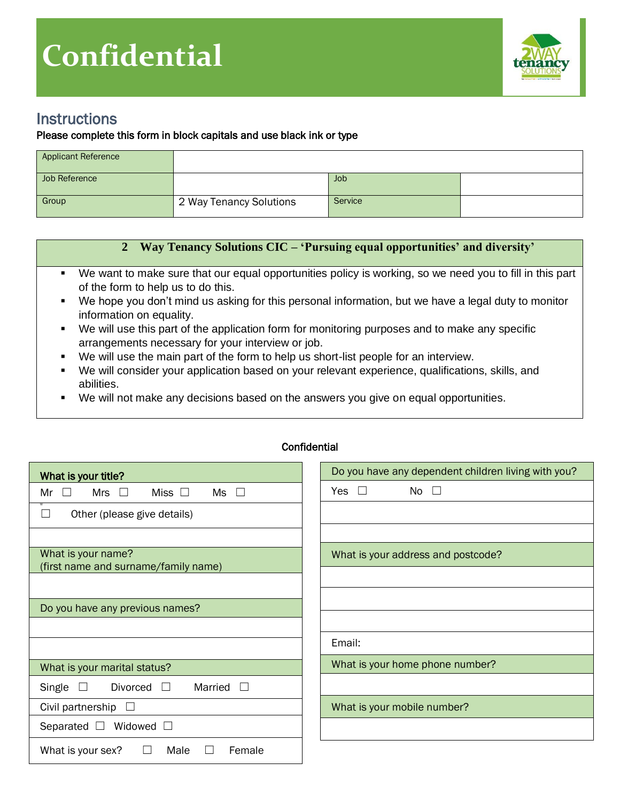

## **Instructions**

## Please complete this form in block capitals and use black ink or type

| <b>Applicant Reference</b> |                         |         |  |
|----------------------------|-------------------------|---------|--|
| Job Reference              |                         | Job     |  |
| Group                      | 2 Way Tenancy Solutions | Service |  |

## **2 Way Tenancy Solutions CIC – 'Pursuing equal opportunities' and diversity'**

- We want to make sure that our equal opportunities policy is working, so we need you to fill in this part of the form to help us to do this.
- We hope you don't mind us asking for this personal information, but we have a legal duty to monitor information on equality.
- We will use this part of the application form for monitoring purposes and to make any specific arrangements necessary for your interview or job.
- We will use the main part of the form to help us short-list people for an interview.
- We will consider your application based on your relevant experience, qualifications, skills, and abilities.
- We will not make any decisions based on the answers you give on equal opportunities.

| What is your title?                                          | Do you have any dependent children living with you? |
|--------------------------------------------------------------|-----------------------------------------------------|
| Mrs $\square$<br>Miss $\square$<br>$\Box$<br>$Ms \Box$<br>Mr | Yes $\square$<br>No $\square$                       |
| Other (please give details)<br>$\Box$                        |                                                     |
|                                                              |                                                     |
| What is your name?                                           | What is your address and postcode?                  |
| (first name and surname/family name)                         |                                                     |
|                                                              |                                                     |
| Do you have any previous names?                              |                                                     |
|                                                              |                                                     |
|                                                              | Email:                                              |
| What is your marital status?                                 | What is your home phone number?                     |
| Married<br>Single<br>$\Box$<br>Divorced<br>$\Box$            |                                                     |
| Civil partnership<br>$\Box$                                  | What is your mobile number?                         |
| Widowed $\square$<br>Separated $\square$                     |                                                     |
| What is your sex?<br>Male<br>Female                          |                                                     |

## Confidential